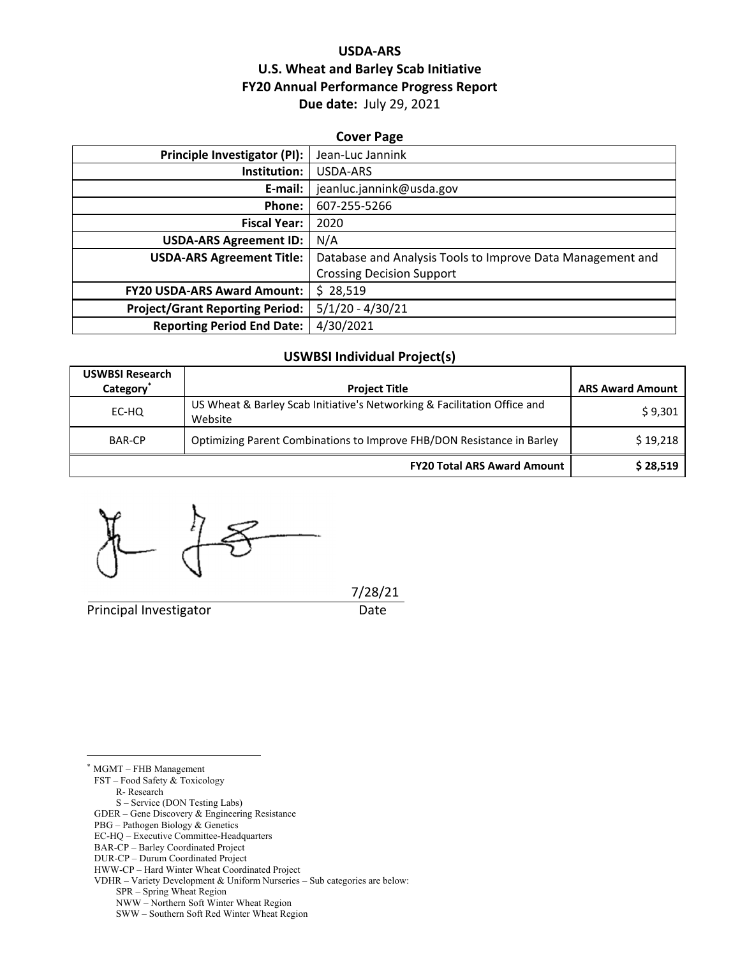# **USDA‐ARS U.S. Wheat and Barley Scab Initiative FY20 Annual Performance Progress Report Due date:** July 29, 2021

| <b>Cover Page</b>                                                                                                                         |  |  |  |  |
|-------------------------------------------------------------------------------------------------------------------------------------------|--|--|--|--|
| Principle Investigator (PI):<br>Jean-Luc Jannink                                                                                          |  |  |  |  |
| <b>USDA-ARS</b>                                                                                                                           |  |  |  |  |
| jeanluc.jannink@usda.gov                                                                                                                  |  |  |  |  |
| 607-255-5266                                                                                                                              |  |  |  |  |
| 2020                                                                                                                                      |  |  |  |  |
| N/A                                                                                                                                       |  |  |  |  |
| Database and Analysis Tools to Improve Data Management and                                                                                |  |  |  |  |
| <b>Crossing Decision Support</b>                                                                                                          |  |  |  |  |
| \$28,519                                                                                                                                  |  |  |  |  |
| $5/1/20 - 4/30/21$                                                                                                                        |  |  |  |  |
| 4/30/2021<br><b>Reporting Period End Date:</b>                                                                                            |  |  |  |  |
| E-mail:<br><b>Fiscal Year:</b><br><b>USDA-ARS Agreement ID:</b><br><b>USDA-ARS Agreement Title:</b><br><b>FY20 USDA-ARS Award Amount:</b> |  |  |  |  |

## **USWBSI Individual Project(s)**

| <b>USWBSI Research</b><br>Category <sup>*</sup> | <b>Project Title</b>                                                                | <b>ARS Award Amount</b> |
|-------------------------------------------------|-------------------------------------------------------------------------------------|-------------------------|
| EC-HQ                                           | US Wheat & Barley Scab Initiative's Networking & Facilitation Office and<br>Website | \$9,301                 |
| <b>BAR-CP</b>                                   | Optimizing Parent Combinations to Improve FHB/DON Resistance in Barley              | \$19,218                |
|                                                 | <b>FY20 Total ARS Award Amount</b>                                                  | \$28,519                |

Principal Investigator **Date** 

7/28/21

 $\overline{a}$ \* MGMT – FHB Management

FST – Food Safety & Toxicology

R- Research

S – Service (DON Testing Labs)

GDER – Gene Discovery & Engineering Resistance

PBG – Pathogen Biology & Genetics

BAR-CP – Barley Coordinated Project

EC-HQ – Executive Committee-Headquarters

DUR-CP – Durum Coordinated Project

HWW-CP – Hard Winter Wheat Coordinated Project

VDHR – Variety Development & Uniform Nurseries – Sub categories are below:

SPR – Spring Wheat Region

NWW – Northern Soft Winter Wheat Region

SWW – Southern Soft Red Winter Wheat Region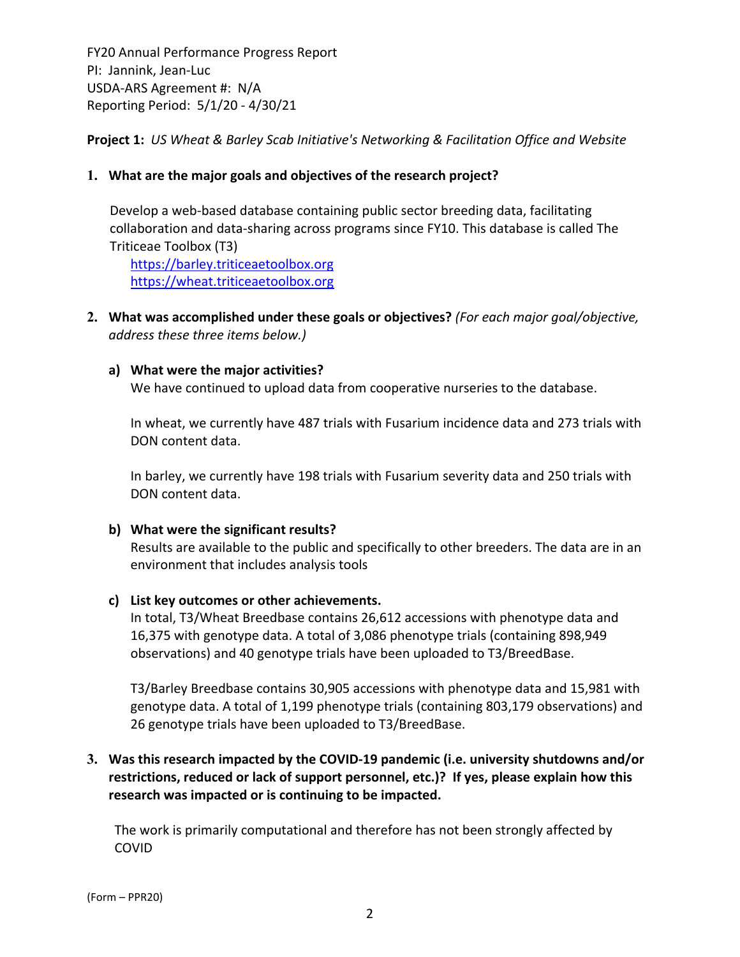**Project 1:** *US Wheat & Barley Scab Initiative's Networking & Facilitation Office and Website*

# **1. What are the major goals and objectives of the research project?**

Develop a web-based database containing public sector breeding data, facilitating collaboration and data‐sharing across programs since FY10. This database is called The Triticeae Toolbox (T3)

https://barley.triticeaetoolbox.org https://wheat.triticeaetoolbox.org

**2. What was accomplished under these goals or objectives?** *(For each major goal/objective, address these three items below.)*

# **a) What were the major activities?**

We have continued to upload data from cooperative nurseries to the database.

In wheat, we currently have 487 trials with Fusarium incidence data and 273 trials with DON content data.

In barley, we currently have 198 trials with Fusarium severity data and 250 trials with DON content data.

# **b) What were the significant results?**

Results are available to the public and specifically to other breeders. The data are in an environment that includes analysis tools

#### **c) List key outcomes or other achievements.**

In total, T3/Wheat Breedbase contains 26,612 accessions with phenotype data and 16,375 with genotype data. A total of 3,086 phenotype trials (containing 898,949 observations) and 40 genotype trials have been uploaded to T3/BreedBase.

T3/Barley Breedbase contains 30,905 accessions with phenotype data and 15,981 with genotype data. A total of 1,199 phenotype trials (containing 803,179 observations) and 26 genotype trials have been uploaded to T3/BreedBase.

# **3. Was this research impacted by the COVID‐19 pandemic (i.e. university shutdowns and/or restrictions, reduced or lack of support personnel, etc.)? If yes, please explain how this research was impacted or is continuing to be impacted.**

The work is primarily computational and therefore has not been strongly affected by COVID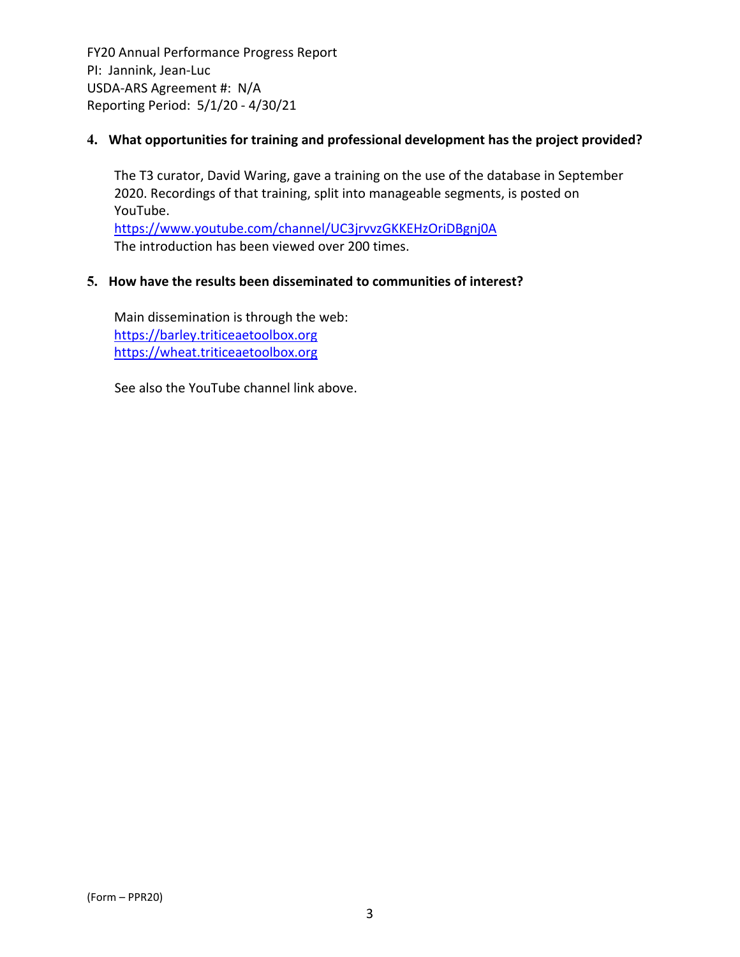# **4. What opportunities for training and professional development has the project provided?**

The T3 curator, David Waring, gave a training on the use of the database in September 2020. Recordings of that training, split into manageable segments, is posted on YouTube.

https://www.youtube.com/channel/UC3jrvvzGKKEHzOriDBgnj0A The introduction has been viewed over 200 times.

# **5. How have the results been disseminated to communities of interest?**

Main dissemination is through the web: https://barley.triticeaetoolbox.org https://wheat.triticeaetoolbox.org

See also the YouTube channel link above.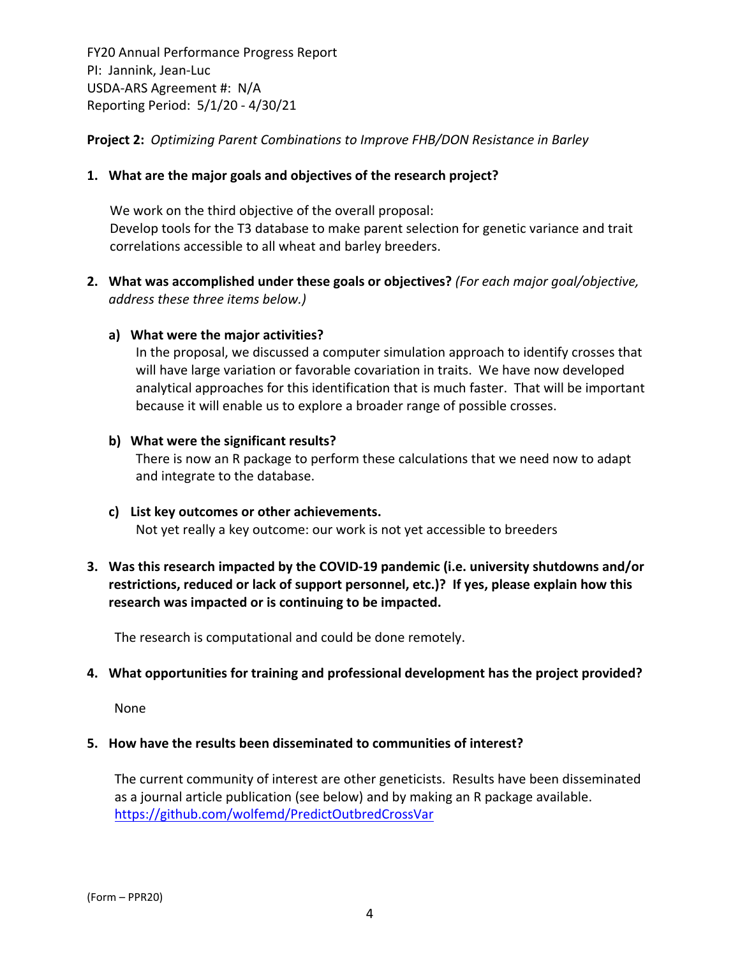**Project 2:** *Optimizing Parent Combinations to Improve FHB/DON Resistance in Barley*

## **1. What are the major goals and objectives of the research project?**

We work on the third objective of the overall proposal: Develop tools for the T3 database to make parent selection for genetic variance and trait correlations accessible to all wheat and barley breeders.

**2. What was accomplished under these goals or objectives?** *(For each major goal/objective, address these three items below.)*

## **a) What were the major activities?**

In the proposal, we discussed a computer simulation approach to identify crosses that will have large variation or favorable covariation in traits. We have now developed analytical approaches for this identification that is much faster. That will be important because it will enable us to explore a broader range of possible crosses.

#### **b) What were the significant results?**

There is now an R package to perform these calculations that we need now to adapt and integrate to the database.

**c) List key outcomes or other achievements.**  Not yet really a key outcome: our work is not yet accessible to breeders

# **3. Was this research impacted by the COVID‐19 pandemic (i.e. university shutdowns and/or restrictions, reduced or lack of support personnel, etc.)? If yes, please explain how this research was impacted or is continuing to be impacted.**

The research is computational and could be done remotely.

#### **4. What opportunities for training and professional development has the project provided?**

None

#### **5. How have the results been disseminated to communities of interest?**

The current community of interest are other geneticists. Results have been disseminated as a journal article publication (see below) and by making an R package available. https://github.com/wolfemd/PredictOutbredCrossVar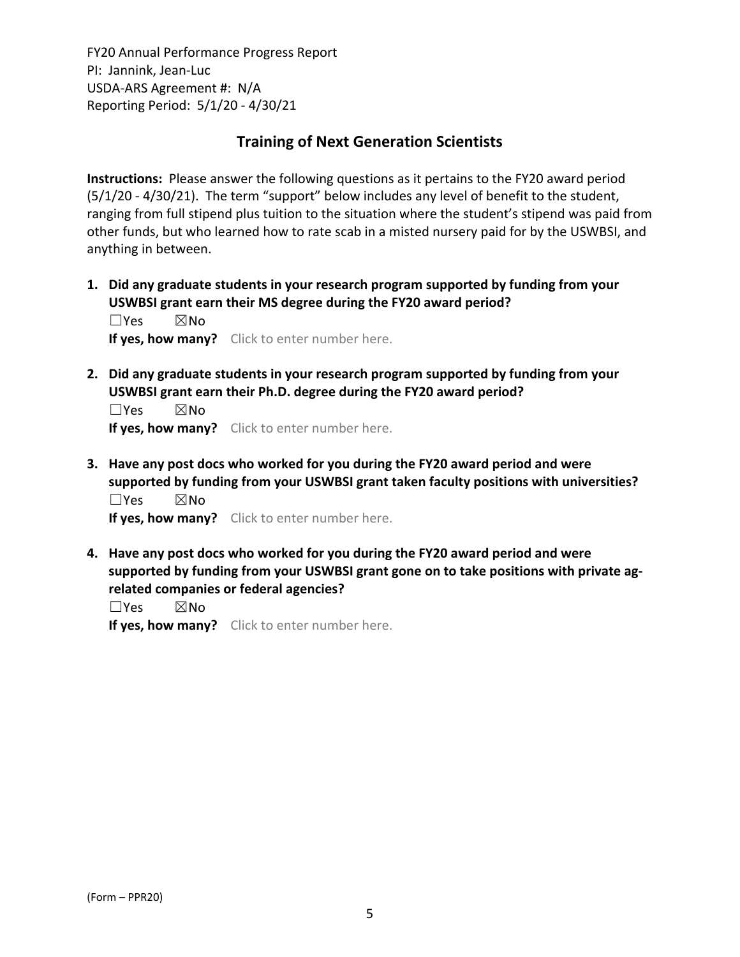# **Training of Next Generation Scientists**

**Instructions:** Please answer the following questions as it pertains to the FY20 award period (5/1/20 ‐ 4/30/21). The term "support" below includes any level of benefit to the student, ranging from full stipend plus tuition to the situation where the student's stipend was paid from other funds, but who learned how to rate scab in a misted nursery paid for by the USWBSI, and anything in between.

**1. Did any graduate students in your research program supported by funding from your USWBSI grant earn their MS degree during the FY20 award period?** ☐Yes ☒No

**If yes, how many?** Click to enter number here.

**2. Did any graduate students in your research program supported by funding from your USWBSI grant earn their Ph.D. degree during the FY20 award period?**

 $\square$ Yes  $\square$ No **If yes, how many?** Click to enter number here.

**3. Have any post docs who worked for you during the FY20 award period and were supported by funding from your USWBSI grant taken faculty positions with universities?** ☐Yes ☒No

**If yes, how many?** Click to enter number here.

**4. Have any post docs who worked for you during the FY20 award period and were supported by funding from your USWBSI grant gone on to take positions with private ag‐ related companies or federal agencies?**

☐Yes ☒No

**If yes, how many?** Click to enter number here.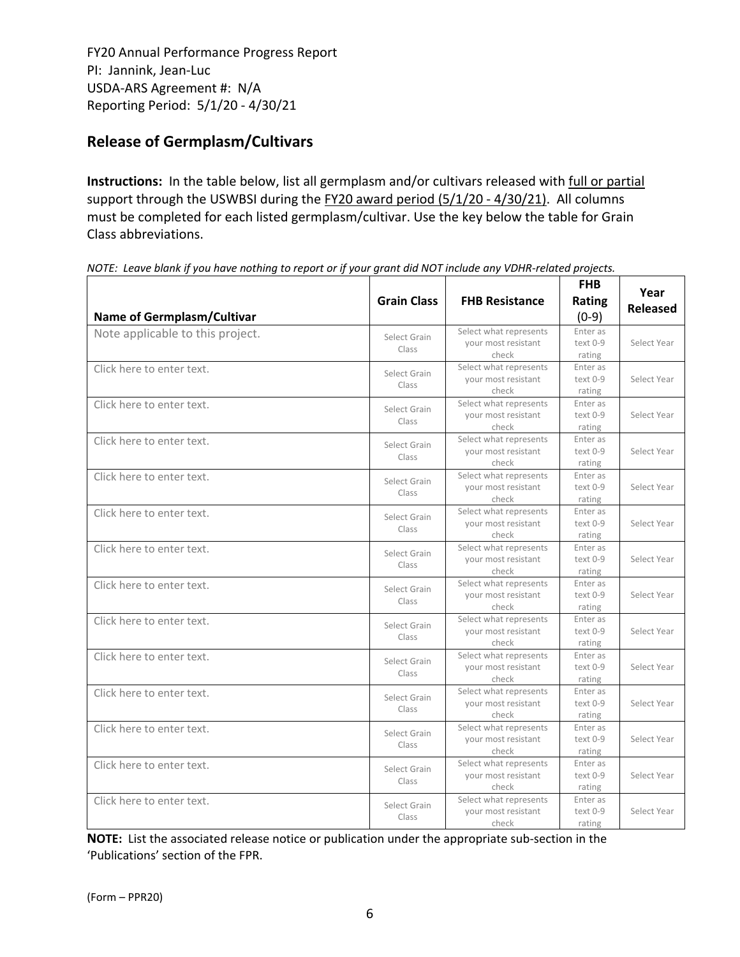# **Release of Germplasm/Cultivars**

**Instructions:** In the table below, list all germplasm and/or cultivars released with full or partial support through the USWBSI during the FY20 award period (5/1/20 - 4/30/21). All columns must be completed for each listed germplasm/cultivar. Use the key below the table for Grain Class abbreviations. 

| <b>Name of Germplasm/Cultivar</b> | <b>Grain Class</b>    | <b>FHB Resistance</b>                                  | <b>FHB</b><br>Rating<br>$(0-9)$ | Year<br><b>Released</b> |
|-----------------------------------|-----------------------|--------------------------------------------------------|---------------------------------|-------------------------|
| Note applicable to this project.  | Select Grain<br>Class | Select what represents<br>your most resistant<br>check | Enter as<br>text 0-9<br>rating  | Select Year             |
| Click here to enter text.         | Select Grain<br>Class | Select what represents<br>your most resistant<br>check | Enter as<br>text 0-9<br>rating  | Select Year             |
| Click here to enter text.         | Select Grain<br>Class | Select what represents<br>your most resistant<br>check | Enter as<br>text 0-9<br>rating  | Select Year             |
| Click here to enter text.         | Select Grain<br>Class | Select what represents<br>your most resistant<br>check | Enter as<br>text 0-9<br>rating  | Select Year             |
| Click here to enter text.         | Select Grain<br>Class | Select what represents<br>your most resistant<br>check | Enter as<br>text 0-9<br>rating  | Select Year             |
| Click here to enter text.         | Select Grain<br>Class | Select what represents<br>your most resistant<br>check | Enter as<br>text 0-9<br>rating  | Select Year             |
| Click here to enter text.         | Select Grain<br>Class | Select what represents<br>your most resistant<br>check | Enter as<br>text 0-9<br>rating  | Select Year             |
| Click here to enter text.         | Select Grain<br>Class | Select what represents<br>your most resistant<br>check | Enter as<br>text 0-9<br>rating  | Select Year             |
| Click here to enter text.         | Select Grain<br>Class | Select what represents<br>your most resistant<br>check | Enter as<br>text 0-9<br>rating  | Select Year             |
| Click here to enter text.         | Select Grain<br>Class | Select what represents<br>your most resistant<br>check | Enter as<br>text 0-9<br>rating  | Select Year             |
| Click here to enter text.         | Select Grain<br>Class | Select what represents<br>your most resistant<br>check | Enter as<br>text 0-9<br>rating  | Select Year             |
| Click here to enter text.         | Select Grain<br>Class | Select what represents<br>your most resistant<br>check | Enter as<br>text 0-9<br>rating  | Select Year             |
| Click here to enter text.         | Select Grain<br>Class | Select what represents<br>your most resistant<br>check | Enter as<br>text 0-9<br>rating  | Select Year             |
| Click here to enter text.         | Select Grain<br>Class | Select what represents<br>your most resistant<br>check | Enter as<br>text 0-9<br>rating  | Select Year             |

NOTE: Leave blank if you have nothing to report or if your grant did NOT include any VDHR-related projects.

**NOTE:** List the associated release notice or publication under the appropriate sub-section in the 'Publications' section of the FPR.